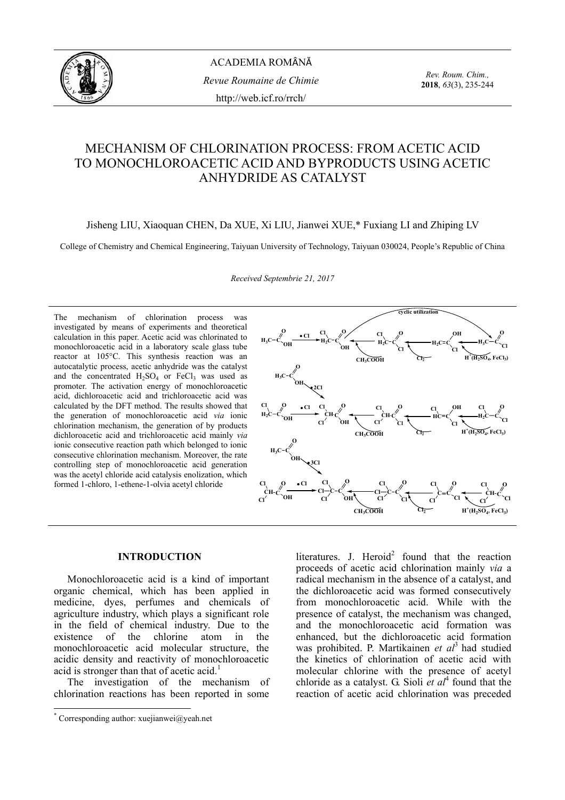

ACADEMIA ROMÂNĂ *Revue Roumaine de Chimie*  http://web.icf.ro/rrch/

*Rev. Roum. Chim.,*  **2018**, *63*(3), 235-244

# MECHANISM OF CHLORINATION PROCESS: FROM ACETIC ACID TO MONOCHLOROACETIC ACID AND BYPRODUCTS USING ACETIC ANHYDRIDE AS CATALYST

Jisheng LIU, Xiaoquan CHEN, Da XUE, Xi LIU, Jianwei XUE,\* Fuxiang LI and Zhiping LV

College of Chemistry and Chemical Engineering, Taiyuan University of Technology, Taiyuan 030024, People's Republic of China

*Received Septembrie 21, 2017* 

The mechanism of chlorination process was investigated by means of experiments and theoretical calculation in this paper. Acetic acid was chlorinated to monochloroacetic acid in a laboratory scale glass tube reactor at 105°C. This synthesis reaction was an autocatalytic process, acetic anhydride was the catalyst and the concentrated  $H_2SO_4$  or  $FeCl_3$  was used as promoter. The activation energy of monochloroacetic acid, dichloroacetic acid and trichloroacetic acid was calculated by the DFT method. The results showed that the generation of monochloroacetic acid *via* ionic chlorination mechanism, the generation of by products dichloroacetic acid and trichloroacetic acid mainly *via* ionic consecutive reaction path which belonged to ionic consecutive chlorination mechanism. Moreover, the rate controlling step of monochloroacetic acid generation was the acetyl chloride acid catalysis enolization, which formed 1-chloro, 1-ethene-1-olvia acetyl chloride



## **INTRODUCTION\***

Monochloroacetic acid is a kind of important organic chemical, which has been applied in medicine, dyes, perfumes and chemicals of agriculture industry, which plays a significant role in the field of chemical industry. Due to the existence of the chlorine atom in the monochloroacetic acid molecular structure, the acidic density and reactivity of monochloroacetic acid is stronger than that of acetic acid.<sup>1</sup>

The investigation of the mechanism of chlorination reactions has been reported in some

 $\overline{a}$ 

literatures. J. Heroid<sup>2</sup> found that the reaction proceeds of acetic acid chlorination mainly *via* a radical mechanism in the absence of a catalyst, and the dichloroacetic acid was formed consecutively from monochloroacetic acid. While with the presence of catalyst, the mechanism was changed, and the monochloroacetic acid formation was enhanced, but the dichloroacetic acid formation was prohibited. P. Martikainen *et al*3 had studied the kinetics of chlorination of acetic acid with molecular chlorine with the presence of acetyl chloride as a catalyst. G. Sioli  $\acute{e}t$  al<sup>4</sup> found that the reaction of acetic acid chlorination was preceded

<sup>\*</sup> Corresponding author: xuejianwei@yeah.net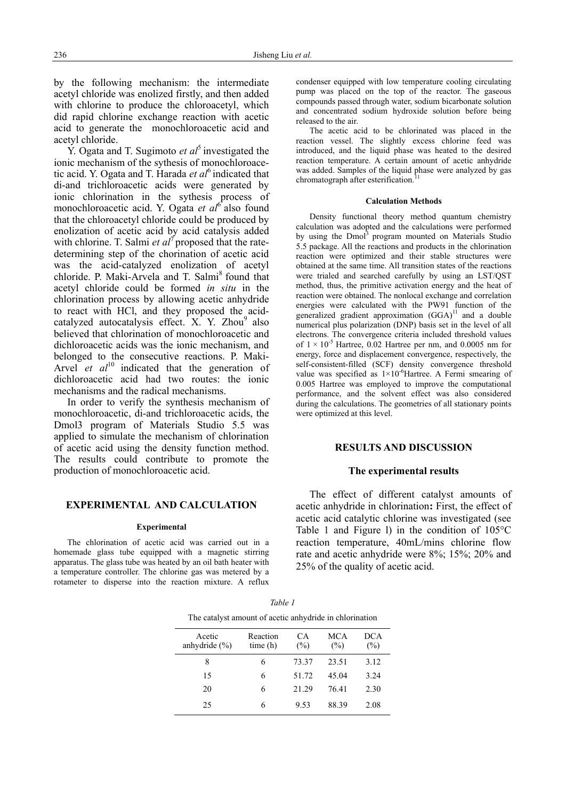by the following mechanism: the intermediate acetyl chloride was enolized firstly, and then added with chlorine to produce the chloroacetyl, which did rapid chlorine exchange reaction with acetic acid to generate the monochloroacetic acid and acetyl chloride.

Y. Ogata and T. Sugimoto *et al*<sup>5</sup> investigated the ionic mechanism of the sythesis of monochloroacetic acid. Y. Ogata and T. Harada *et al*<sup>6</sup> indicated that di-and trichloroacetic acids were generated by ionic chlorination in the sythesis process of monochloroacetic acid. Y. Ogata *et al*6 also found that the chloroacetyl chloride could be produced by enolization of acetic acid by acid catalysis added with chlorine. T. Salmi *et al*<sup>7</sup> proposed that the ratedetermining step of the chorination of acetic acid was the acid-catalyzed enolization of acetyl chloride. P. Maki-Arvela and T. Salmi<sup>8</sup> found that acetyl chloride could be formed *in situ* in the chlorination process by allowing acetic anhydride to react with HCl, and they proposed the acidcatalyzed autocatalysis effect. X. Y. Zhou<sup>9</sup> also believed that chlorination of monochloroacetic and dichloroacetic acids was the ionic mechanism, and belonged to the consecutive reactions. P. Maki-Arvel *et al*<sup>10</sup> indicated that the generation of dichloroacetic acid had two routes: the ionic mechanisms and the radical mechanisms.

In order to verify the synthesis mechanism of monochloroacetic, di-and trichloroacetic acids, the Dmol3 program of Materials Studio 5.5 was applied to simulate the mechanism of chlorination of acetic acid using the density function method. The results could contribute to promote the production of monochloroacetic acid.

## **EXPERIMENTAL AND CALCULATION**

#### **Experimental**

The chlorination of acetic acid was carried out in a homemade glass tube equipped with a magnetic stirring apparatus. The glass tube was heated by an oil bath heater with a temperature controller. The chlorine gas was metered by a rotameter to disperse into the reaction mixture. A reflux condenser equipped with low temperature cooling circulating pump was placed on the top of the reactor. The gaseous compounds passed through water, sodium bicarbonate solution and concentrated sodium hydroxide solution before being released to the air.

The acetic acid to be chlorinated was placed in the reaction vessel. The slightly excess chlorine feed was introduced, and the liquid phase was heated to the desired reaction temperature. A certain amount of acetic anhydride was added. Samples of the liquid phase were analyzed by gas chromatograph after esterification.

#### **Calculation Methods**

Density functional theory method quantum chemistry calculation was adopted and the calculations were performed by using the Dmol<sup>3</sup> program mounted on Materials Studio 5.5 package. All the reactions and products in the chlorination reaction were optimized and their stable structures were obtained at the same time. All transition states of the reactions were trialed and searched carefully by using an LST/QST method, thus, the primitive activation energy and the heat of reaction were obtained. The nonlocal exchange and correlation energies were calculated with the PW91 function of the generalized gradient approximation  $(GGA)^{11}$  and a double numerical plus polarization (DNP) basis set in the level of all electrons. The convergence criteria included threshold values of  $1 \times 10^{-5}$  Hartree, 0.02 Hartree per nm, and 0.0005 nm for energy, force and displacement convergence, respectively, the self-consistent-filled (SCF) density convergence threshold value was specified as  $1\times10^{-6}$ Hartree. A Fermi smearing of 0.005 Hartree was employed to improve the computational performance, and the solvent effect was also considered during the calculations. The geometries of all stationary points were optimized at this level.

#### **RESULTS AND DISCUSSION**

#### **The experimental results**

The effect of different catalyst amounts of acetic anhydride in chlorination**:** First, the effect of acetic acid catalytic chlorine was investigated (see Table 1 and Figure l) in the condition of 105°C reaction temperature, 40mL/mins chlorine flow rate and acetic anhydride were 8%; 15%; 20% and 25% of the quality of acetic acid.

| The catalyst amount of acetic anhydride in chlorination |                     |           |            |                   |  |  |  |
|---------------------------------------------------------|---------------------|-----------|------------|-------------------|--|--|--|
| Acetic<br>anhydride $(\% )$                             | Reaction<br>time(h) | CА<br>(%) | MCA<br>(%) | <b>DCA</b><br>(%) |  |  |  |
| 8                                                       | 6                   | 73.37     | 23.51      | 3.12              |  |  |  |
| 15                                                      | 6                   | 51.72     | 45.04      | 3.24              |  |  |  |
| 20                                                      | 6                   | 21.29     | 76.41      | 2.30              |  |  |  |
| 25                                                      | 6                   | 9.53      | 88 39      | 2.08              |  |  |  |

*Table 1*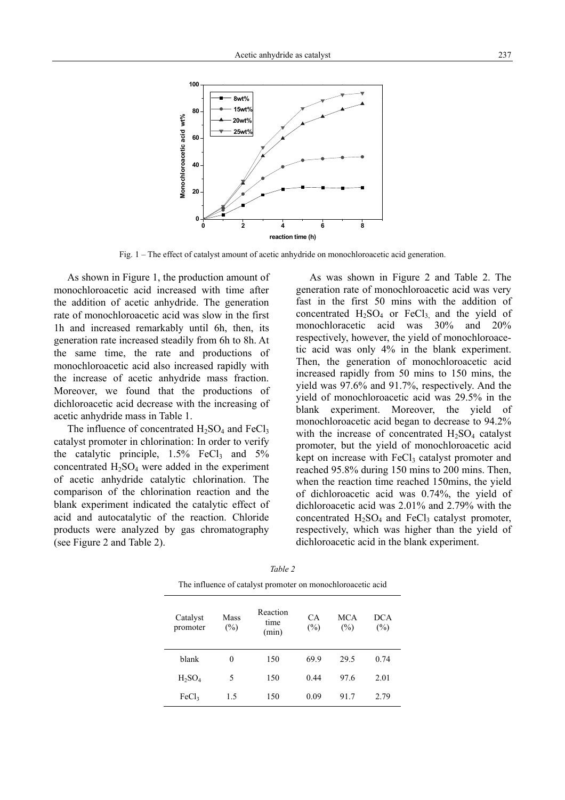

Fig. 1 – The effect of catalyst amount of acetic anhydride on monochloroacetic acid generation.

As shown in Figure 1, the production amount of monochloroacetic acid increased with time after the addition of acetic anhydride. The generation rate of monochloroacetic acid was slow in the first 1h and increased remarkably until 6h, then, its generation rate increased steadily from 6h to 8h. At the same time, the rate and productions of monochloroacetic acid also increased rapidly with the increase of acetic anhydride mass fraction. Moreover, we found that the productions of dichloroacetic acid decrease with the increasing of acetic anhydride mass in Table 1.

The influence of concentrated  $H_2SO_4$  and  $FeCl_3$ catalyst promoter in chlorination: In order to verify the catalytic principle,  $1.5\%$  FeCl<sub>3</sub> and  $5\%$ concentrated  $H_2SO_4$  were added in the experiment of acetic anhydride catalytic chlorination. The comparison of the chlorination reaction and the blank experiment indicated the catalytic effect of acid and autocatalytic of the reaction. Chloride products were analyzed by gas chromatography (see Figure 2 and Table 2).

As was shown in Figure 2 and Table 2. The generation rate of monochloroacetic acid was very fast in the first 50 mins with the addition of concentrated  $H_2SO_4$  or FeCl<sub>3</sub> and the yield of monochloracetic acid was 30% and 20% respectively, however, the yield of monochloroacetic acid was only 4% in the blank experiment. Then, the generation of monochloroacetic acid increased rapidly from 50 mins to 150 mins, the yield was 97.6% and 91.7%, respectively. And the yield of monochloroacetic acid was 29.5% in the blank experiment. Moreover, the yield of monochloroacetic acid began to decrease to 94.2% with the increase of concentrated  $H_2SO_4$  catalyst promoter, but the yield of monochloroacetic acid kept on increase with  $FeCl<sub>3</sub>$  catalyst promoter and reached 95.8% during 150 mins to 200 mins. Then, when the reaction time reached 150mins, the yield of dichloroacetic acid was 0.74%, the yield of dichloroacetic acid was 2.01% and 2.79% with the concentrated  $H_2SO_4$  and  $FeCl_3$  catalyst promoter, respectively, which was higher than the yield of dichloroacetic acid in the blank experiment.

| Catalyst<br>promoter | Mass<br>$(\%)$ | Reaction<br>time<br>(min) | CA.<br>(%) | <b>MCA</b><br>(%) | <b>DCA</b><br>$(\%)$ |
|----------------------|----------------|---------------------------|------------|-------------------|----------------------|
| blank                | 0              | 150                       | 69.9       | 29.5              | 0.74                 |
| $H_2SO_4$            | 5              | 150                       | 0.44       | 97.6              | 2.01                 |
| FeCl <sub>3</sub>    | 1.5            | 150                       | 0.09       | 91.7              | 2.79                 |

*Table 2*  The influence of catalyst promoter on monochloroacetic acid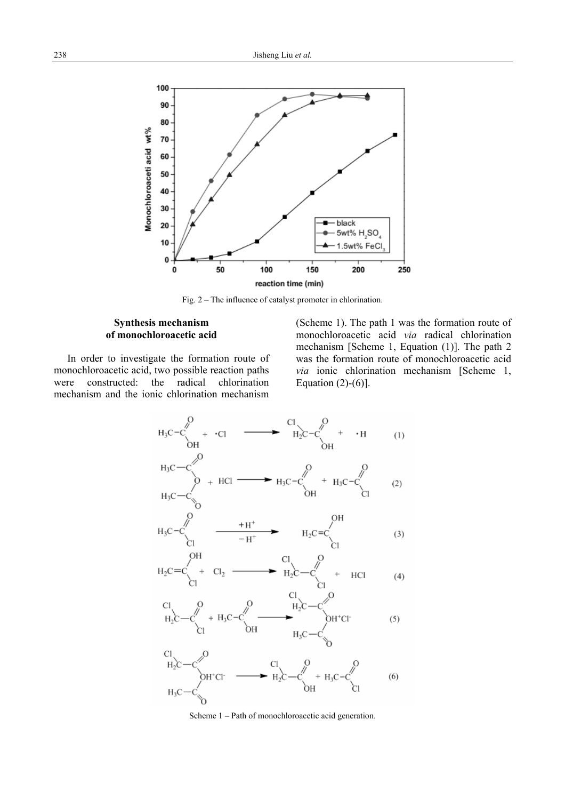

Fig. 2 – The influence of catalyst promoter in chlorination.

## **Synthesis mechanism of monochloroacetic acid**

In order to investigate the formation route of monochloroacetic acid, two possible reaction paths were constructed: the radical chlorination mechanism and the ionic chlorination mechanism

(Scheme 1). The path 1 was the formation route of monochloroacetic acid *via* radical chlorination mechanism [Scheme 1, Equation (1)]. The path 2 was the formation route of monochloroacetic acid *via* ionic chlorination mechanism [Scheme 1, Equation  $(2)-(6)$ ].



Scheme 1 – Path of monochloroacetic acid generation.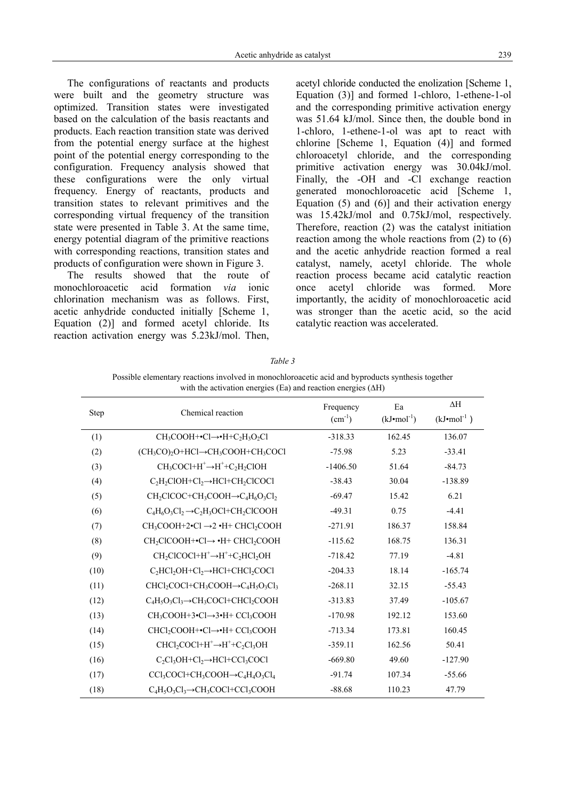The configurations of reactants and products were built and the geometry structure was optimized. Transition states were investigated based on the calculation of the basis reactants and products. Each reaction transition state was derived from the potential energy surface at the highest point of the potential energy corresponding to the configuration. Frequency analysis showed that these configurations were the only virtual frequency. Energy of reactants, products and transition states to relevant primitives and the corresponding virtual frequency of the transition state were presented in Table 3. At the same time, energy potential diagram of the primitive reactions with corresponding reactions, transition states and products of configuration were shown in Figure 3.

The results showed that the route of monochloroacetic acid formation *via* ionic chlorination mechanism was as follows. First, acetic anhydride conducted initially [Scheme 1, Equation (2)] and formed acetyl chloride. Its reaction activation energy was 5.23kJ/mol. Then, acetyl chloride conducted the enolization [Scheme 1, Equation (3)] and formed 1-chloro, 1-ethene-1-ol and the corresponding primitive activation energy was 51.64 kJ/mol. Since then, the double bond in 1-chloro, 1-ethene-1-ol was apt to react with chlorine [Scheme 1, Equation (4)] and formed chloroacetyl chloride, and the corresponding primitive activation energy was 30.04kJ/mol. Finally, the -OH and -Cl exchange reaction generated monochloroacetic acid [Scheme 1, Equation  $(5)$  and  $(6)$ ] and their activation energy was 15.42kJ/mol and 0.75kJ/mol, respectively. Therefore, reaction (2) was the catalyst initiation reaction among the whole reactions from (2) to (6) and the acetic anhydride reaction formed a real catalyst, namely, acetyl chloride. The whole reaction process became acid catalytic reaction once acetyl chloride was formed. More importantly, the acidity of monochloroacetic acid was stronger than the acetic acid, so the acid catalytic reaction was accelerated.

| with the activation energies (Ea) and reaction energies $(\Delta H)$ |                                                             |                          |                             |                                     |  |  |
|----------------------------------------------------------------------|-------------------------------------------------------------|--------------------------|-----------------------------|-------------------------------------|--|--|
| Step                                                                 | Chemical reaction                                           | Frequency<br>$(cm^{-1})$ | Ea<br>$(kJ \cdot mol^{-1})$ | $\Delta H$<br>$(kJ \cdot mol^{-1})$ |  |  |
| (1)                                                                  | $CH_3COOH + \bullet Cl \rightarrow \bullet H + C_2H_3O_2Cl$ | $-318.33$                | 162.45                      | 136.07                              |  |  |
| (2)                                                                  | $(CH_3CO)_2O+HCl\rightarrow CH_3COOH+CH_3COCl$              | $-75.98$                 | 5.23                        | $-33.41$                            |  |  |
| (3)                                                                  | $CH_3COCl+H^+\rightarrow H^+ + C_2H_2ClOH$                  | $-1406.50$               | 51.64                       | $-84.73$                            |  |  |
| (4)                                                                  | $C_2H_2ClOH + Cl_2 \rightarrow HCl + CH_2ClCOCl$            | $-38.43$                 | 30.04                       | $-138.89$                           |  |  |
| (5)                                                                  | $CH_2CICOC+CH_3COOH \rightarrow C_4H_6O_3Cl_2$              | $-69.47$                 | 15.42                       | 6.21                                |  |  |
| (6)                                                                  | $C_4H_6O_3Cl_2 \rightarrow C_2H_3OCl+CH_2ClCOOH$            | $-49.31$                 | 0.75                        | $-4.41$                             |  |  |
| (7)                                                                  | $CH_3COOH+2\bullet Cl \rightarrow 2\bullet H + CHCl_2COOH$  | $-271.91$                | 186.37                      | 158.84                              |  |  |
| (8)                                                                  | $CH_2CICOOH+{\bullet}Cl{\rightarrow} {\bullet}H+CHCl_2COOH$ | $-115.62$                | 168.75                      | 136.31                              |  |  |
| (9)                                                                  | $CH_2CICOCl+H^+ \rightarrow H^+ + C_2HCI_2OH$               | $-718.42$                | 77.19                       | $-4.81$                             |  |  |
| (10)                                                                 | $C_2HC1_2OH + Cl_2 \rightarrow HCl + CHCl_2COCl$            | $-204.33$                | 18.14                       | $-165.74$                           |  |  |
| (11)                                                                 | $CHCl_2COCl + CH_3COOH \rightarrow C_4H_5O_3Cl_3$           | $-268.11$                | 32.15                       | $-55.43$                            |  |  |
| (12)                                                                 | $C_4H_5O_3Cl_3 \rightarrow CH_3COCl + CHCl_2COOH$           | $-313.83$                | 37.49                       | $-105.67$                           |  |  |
| (13)                                                                 | $CH_3COOH+3\bullet Cl\rightarrow 3\bullet H + CCl_3COOH$    | $-170.98$                | 192.12                      | 153.60                              |  |  |
| (14)                                                                 | CHCl <sub>2</sub> COOH+•Cl→•H+ CCl <sub>3</sub> COOH        | $-713.34$                | 173.81                      | 160.45                              |  |  |
| (15)                                                                 | $CHCl2COCl+H+\rightarrow H++C2Cl3OH$                        | $-359.11$                | 162.56                      | 50.41                               |  |  |
| (16)                                                                 | $C_2Cl_3OH + Cl_2 \rightarrow HCl + CCl_3COCl$              | $-669.80$                | 49.60                       | $-127.90$                           |  |  |
| (17)                                                                 | $CCl3COCl + CH3COOH \rightarrow C4H4O3Cl4$                  | $-91.74$                 | 107.34                      | $-55.66$                            |  |  |
| (18)                                                                 | $C_4H_5O_3Cl_3 \rightarrow CH_3COCl + CCl_3COOH$            | $-88.68$                 | 110.23                      | 47.79                               |  |  |

*Table 3* 

Possible elementary reactions involved in monochloroacetic acid and byproducts synthesis together with the activation energies (Ea) and reaction energies (∆H)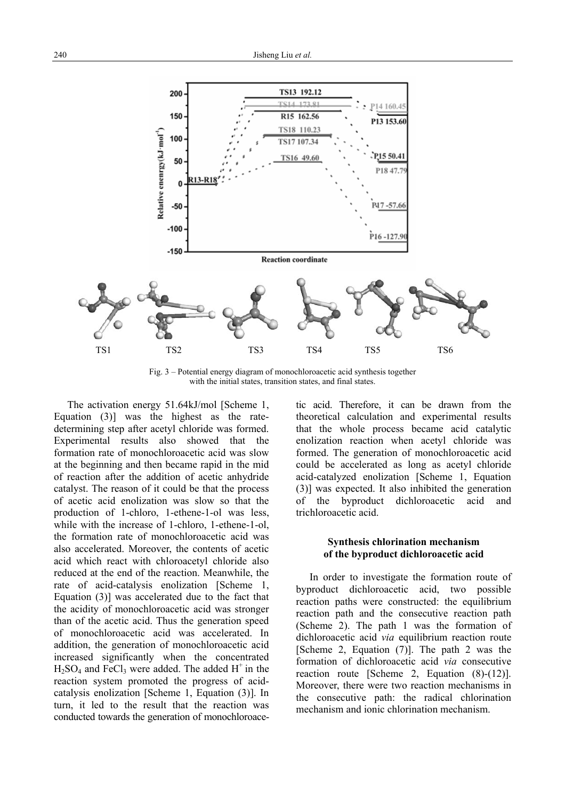

Fig. 3 – Potential energy diagram of monochloroacetic acid synthesis together with the initial states, transition states, and final states.

The activation energy 51.64kJ/mol [Scheme 1, Equation (3)] was the highest as the ratedetermining step after acetyl chloride was formed. Experimental results also showed that the formation rate of monochloroacetic acid was slow at the beginning and then became rapid in the mid of reaction after the addition of acetic anhydride catalyst. The reason of it could be that the process of acetic acid enolization was slow so that the production of 1-chloro, 1-ethene-1-ol was less, while with the increase of 1-chloro, 1-ethene-1-ol, the formation rate of monochloroacetic acid was also accelerated. Moreover, the contents of acetic acid which react with chloroacetyl chloride also reduced at the end of the reaction. Meanwhile, the rate of acid-catalysis enolization [Scheme 1, Equation (3)] was accelerated due to the fact that the acidity of monochloroacetic acid was stronger than of the acetic acid. Thus the generation speed of monochloroacetic acid was accelerated. In addition, the generation of monochloroacetic acid increased significantly when the concentrated  $H_2SO_4$  and FeCl<sub>3</sub> were added. The added H<sup>+</sup> in the reaction system promoted the progress of acidcatalysis enolization [Scheme 1, Equation (3)]. In turn, it led to the result that the reaction was conducted towards the generation of monochloroacetic acid. Therefore, it can be drawn from the theoretical calculation and experimental results that the whole process became acid catalytic enolization reaction when acetyl chloride was formed. The generation of monochloroacetic acid could be accelerated as long as acetyl chloride acid-catalyzed enolization [Scheme 1, Equation (3)] was expected. It also inhibited the generation of the byproduct dichloroacetic acid and trichloroacetic acid.

## **Synthesis chlorination mechanism of the byproduct dichloroacetic acid**

In order to investigate the formation route of byproduct dichloroacetic acid, two possible reaction paths were constructed: the equilibrium reaction path and the consecutive reaction path (Scheme 2). The path 1 was the formation of dichloroacetic acid *via* equilibrium reaction route [Scheme 2, Equation (7)]. The path 2 was the formation of dichloroacetic acid *via* consecutive reaction route [Scheme 2, Equation (8)-(12)]. Moreover, there were two reaction mechanisms in the consecutive path: the radical chlorination mechanism and ionic chlorination mechanism.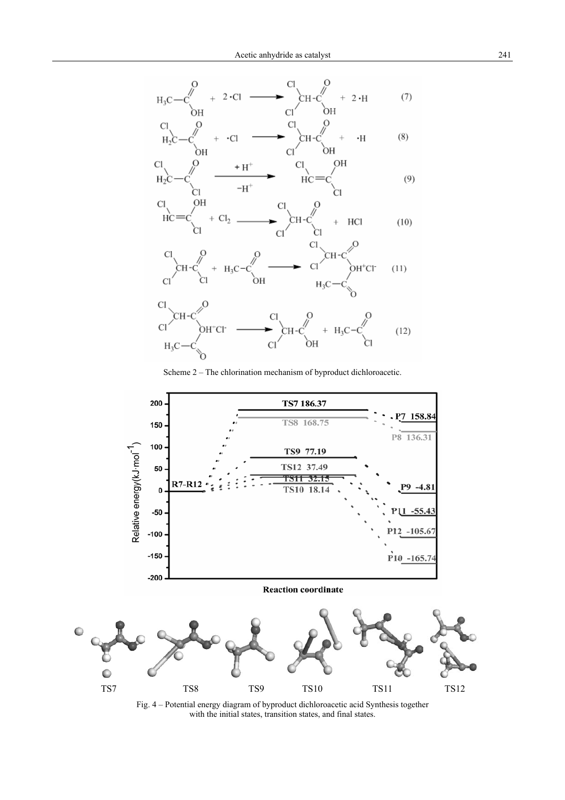

Scheme 2 – The chlorination mechanism of byproduct dichloroacetic.



Fig. 4 – Potential energy diagram of byproduct dichloroacetic acid Synthesis together with the initial states, transition states, and final states.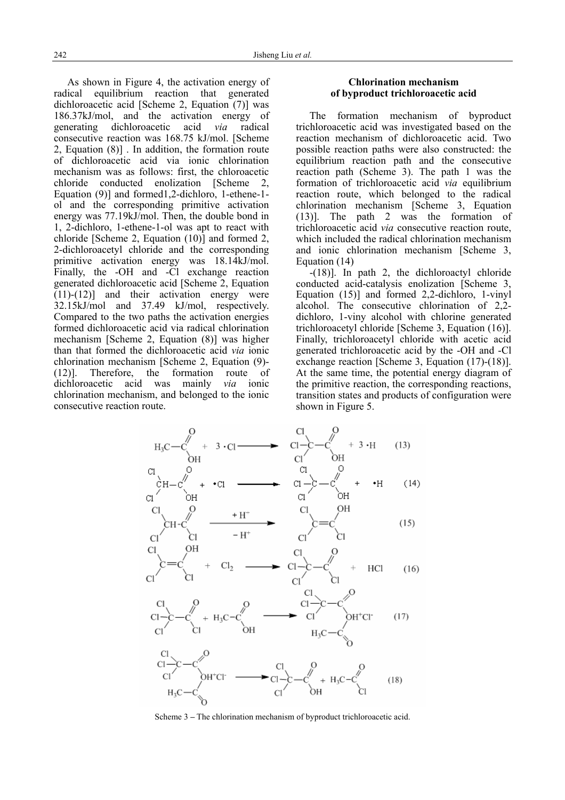As shown in Figure 4, the activation energy of radical equilibrium reaction that generated dichloroacetic acid [Scheme 2, Equation (7)] was 186.37kJ/mol, and the activation energy of generating dichloroacetic acid *via* radical consecutive reaction was 168.75 kJ/mol. [Scheme 2, Equation (8)] . In addition, the formation route of dichloroacetic acid via ionic chlorination mechanism was as follows: first, the chloroacetic chloride conducted enolization [Scheme 2, Equation (9)] and formed1,2-dichloro, 1-ethene-1 ol and the corresponding primitive activation energy was 77.19kJ/mol. Then, the double bond in 1, 2-dichloro, 1-ethene-1-ol was apt to react with chloride [Scheme 2, Equation (10)] and formed 2, 2-dichloroacetyl chloride and the corresponding primitive activation energy was 18.14kJ/mol. Finally, the -OH and -Cl exchange reaction generated dichloroacetic acid [Scheme 2, Equation  $(11)-(12)$ ] and their activation energy were 32.15kJ/mol and 37.49 kJ/mol, respectively. Compared to the two paths the activation energies formed dichloroacetic acid via radical chlorination mechanism [Scheme 2, Equation (8)] was higher than that formed the dichloroacetic acid *via* ionic chlorination mechanism [Scheme 2, Equation (9)- (12)]. Therefore, the formation route of dichloroacetic acid was mainly *via* ionic chlorination mechanism, and belonged to the ionic consecutive reaction route.

## **Chlorination mechanism of byproduct trichloroacetic acid**

The formation mechanism of byproduct trichloroacetic acid was investigated based on the reaction mechanism of dichloroacetic acid. Two possible reaction paths were also constructed: the equilibrium reaction path and the consecutive reaction path (Scheme 3). The path 1 was the formation of trichloroacetic acid *via* equilibrium reaction route, which belonged to the radical chlorination mechanism [Scheme 3, Equation (13)]. The path 2 was the formation of trichloroacetic acid *via* consecutive reaction route, which included the radical chlorination mechanism and ionic chlorination mechanism [Scheme 3, Equation (14)

-(18)]. In path 2, the dichloroactyl chloride conducted acid-catalysis enolization [Scheme 3, Equation (15)] and formed 2,2-dichloro, 1-vinyl alcohol. The consecutive chlorination of 2,2 dichloro, 1-viny alcohol with chlorine generated trichloroacetyl chloride [Scheme 3, Equation (16)]. Finally, trichloroacetyl chloride with acetic acid generated trichloroacetic acid by the -OH and -Cl exchange reaction [Scheme 3, Equation (17)-(18)]. At the same time, the potential energy diagram of the primitive reaction, the corresponding reactions, transition states and products of configuration were shown in Figure 5.



Scheme 3 **–** The chlorination mechanism of byproduct trichloroacetic acid.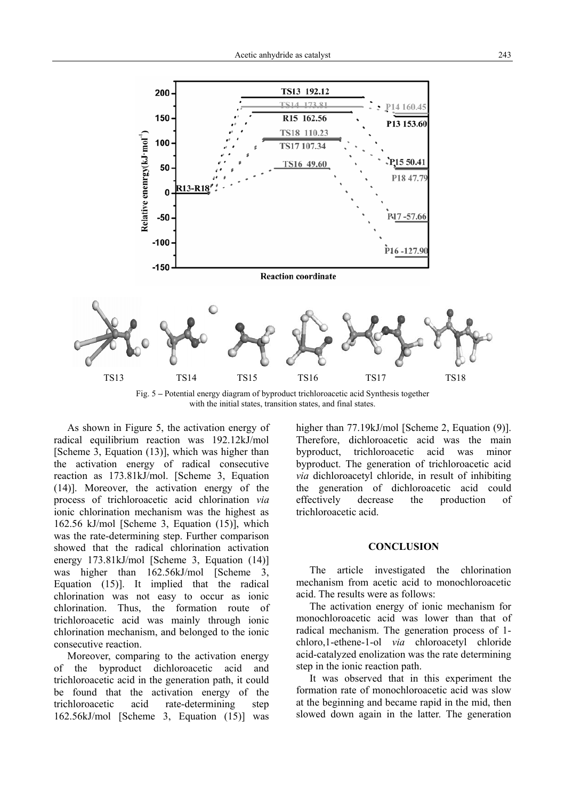

Fig. 5 **–** Potential energy diagram of byproduct trichloroacetic acid Synthesis together with the initial states, transition states, and final states.

As shown in Figure 5, the activation energy of radical equilibrium reaction was 192.12kJ/mol [Scheme 3, Equation (13)], which was higher than the activation energy of radical consecutive reaction as 173.81kJ/mol. [Scheme 3, Equation (14)]. Moreover, the activation energy of the process of trichloroacetic acid chlorination *via* ionic chlorination mechanism was the highest as 162.56 kJ/mol [Scheme 3, Equation (15)], which was the rate-determining step. Further comparison showed that the radical chlorination activation energy 173.81kJ/mol [Scheme 3, Equation (14)] was higher than 162.56kJ/mol [Scheme 3, Equation (15)]. It implied that the radical chlorination was not easy to occur as ionic chlorination. Thus, the formation route of trichloroacetic acid was mainly through ionic chlorination mechanism, and belonged to the ionic consecutive reaction.

Moreover, comparing to the activation energy of the byproduct dichloroacetic acid and trichloroacetic acid in the generation path, it could be found that the activation energy of the trichloroacetic acid rate-determining step 162.56kJ/mol [Scheme 3, Equation (15)] was higher than 77.19kJ/mol [Scheme 2, Equation (9)]. Therefore, dichloroacetic acid was the main byproduct, trichloroacetic acid was minor byproduct. The generation of trichloroacetic acid *via* dichloroacetyl chloride, in result of inhibiting the generation of dichloroacetic acid could effectively decrease the production of trichloroacetic acid.

### **CONCLUSION**

The article investigated the chlorination mechanism from acetic acid to monochloroacetic acid. The results were as follows:

The activation energy of ionic mechanism for monochloroacetic acid was lower than that of radical mechanism. The generation process of 1 chloro,1-ethene-1-ol *via* chloroacetyl chloride acid-catalyzed enolization was the rate determining step in the ionic reaction path.

It was observed that in this experiment the formation rate of monochloroacetic acid was slow at the beginning and became rapid in the mid, then slowed down again in the latter. The generation